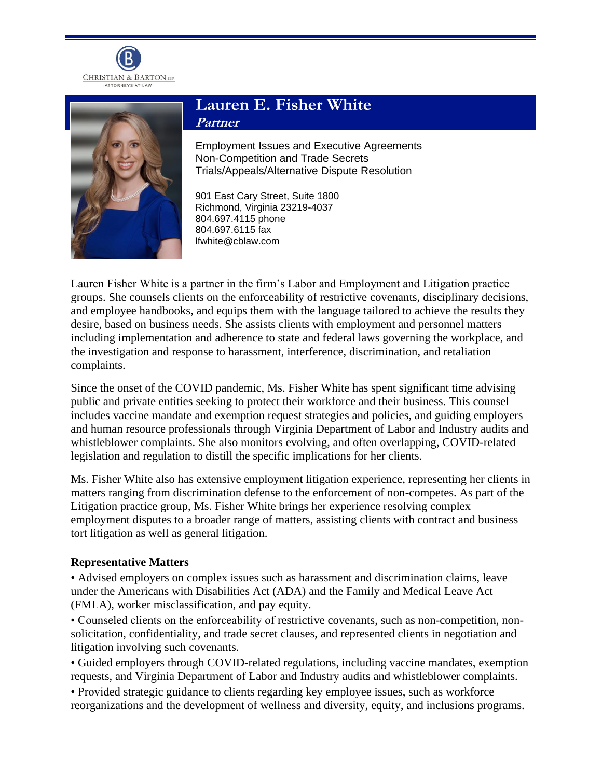



# **Lauren E. Fisher White Partner**

Employment Issues and Executive Agreements Non-Competition and Trade Secrets Trials/Appeals/Alternative Dispute Resolution

901 East Cary Street, Suite 1800 Richmond, Virginia 23219-4037 804.697.4115 phone 804.697.6115 fax lfwhite@cblaw.com

Lauren Fisher White is a partner in the firm's Labor and Employment and Litigation practice groups. She counsels clients on the enforceability of restrictive covenants, disciplinary decisions, and employee handbooks, and equips them with the language tailored to achieve the results they desire, based on business needs. She assists clients with employment and personnel matters including implementation and adherence to state and federal laws governing the workplace, and the investigation and response to harassment, interference, discrimination, and retaliation complaints.

Since the onset of the COVID pandemic, Ms. Fisher White has spent significant time advising public and private entities seeking to protect their workforce and their business. This counsel includes vaccine mandate and exemption request strategies and policies, and guiding employers and human resource professionals through Virginia Department of Labor and Industry audits and whistleblower complaints. She also monitors evolving, and often overlapping, COVID-related legislation and regulation to distill the specific implications for her clients.

Ms. Fisher White also has extensive employment litigation experience, representing her clients in matters ranging from discrimination defense to the enforcement of non-competes. As part of the Litigation practice group, Ms. Fisher White brings her experience resolving complex employment disputes to a broader range of matters, assisting clients with contract and business tort litigation as well as general litigation.

### **Representative Matters**

• Advised employers on complex issues such as harassment and discrimination claims, leave under the Americans with Disabilities Act (ADA) and the Family and Medical Leave Act (FMLA), worker misclassification, and pay equity.

• Counseled clients on the enforceability of restrictive covenants, such as non-competition, nonsolicitation, confidentiality, and trade secret clauses, and represented clients in negotiation and litigation involving such covenants.

• Guided employers through COVID-related regulations, including vaccine mandates, exemption requests, and Virginia Department of Labor and Industry audits and whistleblower complaints.

• Provided strategic guidance to clients regarding key employee issues, such as workforce reorganizations and the development of wellness and diversity, equity, and inclusions programs.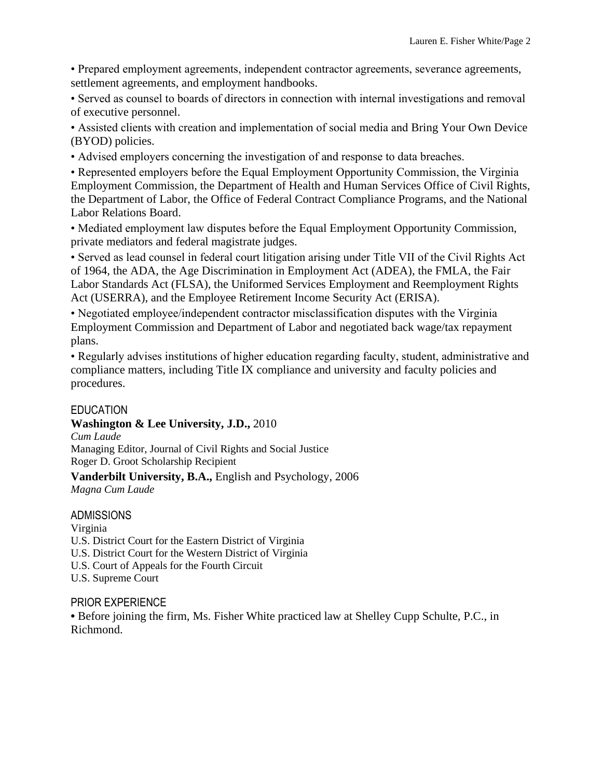• Prepared employment agreements, independent contractor agreements, severance agreements, settlement agreements, and employment handbooks.

• Served as counsel to boards of directors in connection with internal investigations and removal of executive personnel.

• Assisted clients with creation and implementation of social media and Bring Your Own Device (BYOD) policies.

• Advised employers concerning the investigation of and response to data breaches.

• Represented employers before the Equal Employment Opportunity Commission, the Virginia Employment Commission, the Department of Health and Human Services Office of Civil Rights, the Department of Labor, the Office of Federal Contract Compliance Programs, and the National Labor Relations Board.

• Mediated employment law disputes before the Equal Employment Opportunity Commission, private mediators and federal magistrate judges.

• Served as lead counsel in federal court litigation arising under Title VII of the Civil Rights Act of 1964, the ADA, the Age Discrimination in Employment Act (ADEA), the FMLA, the Fair Labor Standards Act (FLSA), the Uniformed Services Employment and Reemployment Rights Act (USERRA), and the Employee Retirement Income Security Act (ERISA).

• Negotiated employee/independent contractor misclassification disputes with the Virginia Employment Commission and Department of Labor and negotiated back wage/tax repayment plans.

• Regularly advises institutions of higher education regarding faculty, student, administrative and compliance matters, including Title IX compliance and university and faculty policies and procedures.

### EDUCATION

### **Washington & Lee University, J.D.,** 2010

*Cum Laude* Managing Editor, Journal of Civil Rights and Social Justice Roger D. Groot Scholarship Recipient

## **Vanderbilt University, B.A.,** English and Psychology, 2006

*Magna Cum Laude*

### ADMISSIONS

Virginia U.S. District Court for the Eastern District of Virginia U.S. District Court for the Western District of Virginia U.S. Court of Appeals for the Fourth Circuit U.S. Supreme Court

### PRIOR EXPERIENCE

**•** Before joining the firm, Ms. Fisher White practiced law at Shelley Cupp Schulte, P.C., in Richmond.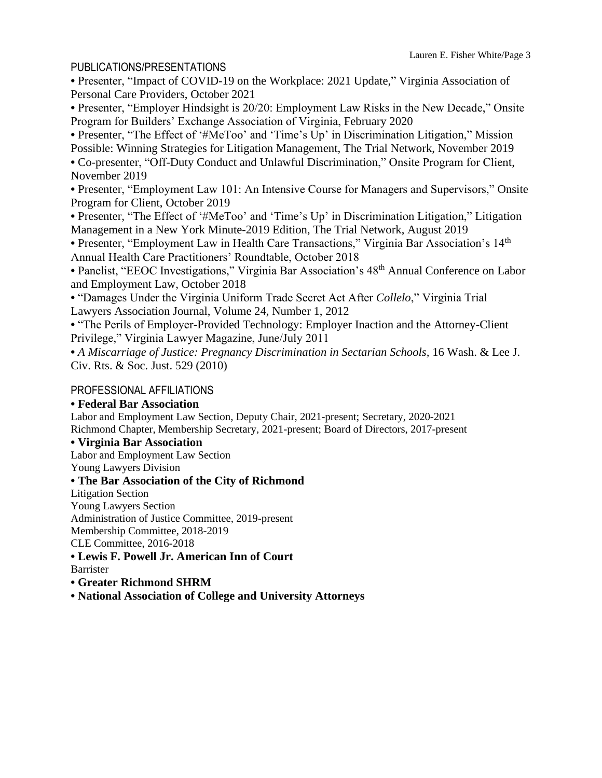### PUBLICATIONS/PRESENTATIONS

**•** Presenter, "Impact of COVID-19 on the Workplace: 2021 Update," Virginia Association of Personal Care Providers, October 2021

**•** Presenter, "Employer Hindsight is 20/20: Employment Law Risks in the New Decade," Onsite Program for Builders' Exchange Association of Virginia, February 2020

• Presenter, "The Effect of '#MeToo' and 'Time's Up' in Discrimination Litigation," Mission Possible: Winning Strategies for Litigation Management, The Trial Network, November 2019 **•** Co-presenter, "Off-Duty Conduct and Unlawful Discrimination," Onsite Program for Client, November 2019

**•** Presenter, "Employment Law 101: An Intensive Course for Managers and Supervisors," Onsite Program for Client, October 2019

• Presenter, "The Effect of '#MeToo' and 'Time's Up' in Discrimination Litigation," Litigation Management in a New York Minute-2019 Edition, The Trial Network, August 2019

**•** Presenter, "Employment Law in Health Care Transactions," Virginia Bar Association's 14th Annual Health Care Practitioners' Roundtable, October 2018

• Panelist, "EEOC Investigations," Virginia Bar Association's 48<sup>th</sup> Annual Conference on Labor and Employment Law, October 2018

**•** "Damages Under the Virginia Uniform Trade Secret Act After *Collelo*," Virginia Trial Lawyers Association Journal, Volume 24, Number 1, 2012

**•** "The Perils of Employer-Provided Technology: Employer Inaction and the Attorney-Client Privilege," Virginia Lawyer Magazine, June/July 2011

**•** *A Miscarriage of Justice: Pregnancy Discrimination in Sectarian Schools,* 16 Wash. & Lee J. Civ. Rts. & Soc. Just. 529 (2010)

### PROFESSIONAL AFFILIATIONS

### **• Federal Bar Association**

Labor and Employment Law Section, Deputy Chair, 2021-present; Secretary, 2020-2021 Richmond Chapter, Membership Secretary, 2021-present; Board of Directors, 2017-present

### **• Virginia Bar Association**

Labor and Employment Law Section

Young Lawyers Division

### **• The Bar Association of the City of Richmond**

Litigation Section

Young Lawyers Section

Administration of Justice Committee, 2019-present

Membership Committee, 2018-2019

CLE Committee, 2016-2018

**• Lewis F. Powell Jr. American Inn of Court**

Barrister

### **• Greater Richmond SHRM**

**• National Association of College and University Attorneys**